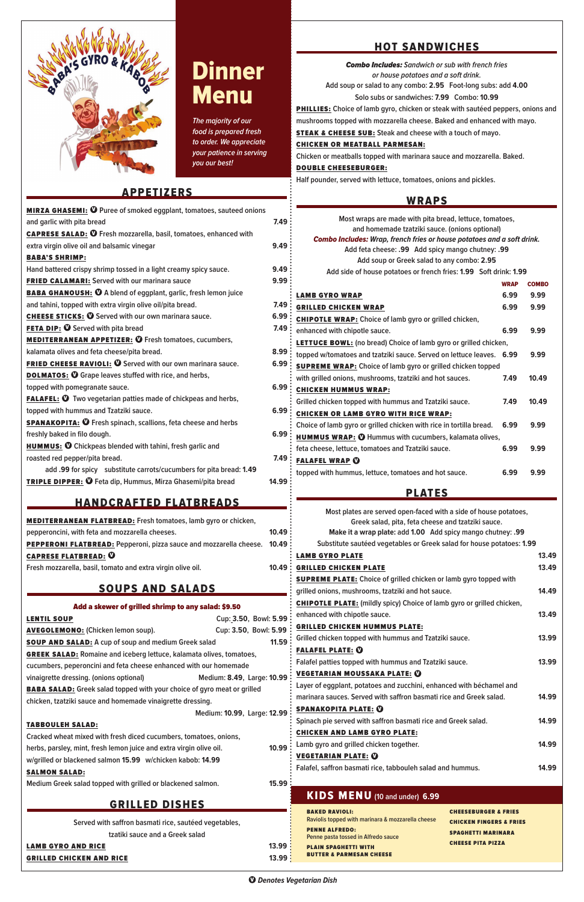**The majority of our food is prepared fresh to order. We appreciate your patience in serving you our best!**



# Dinner Menu

# APPETIZERS

| Cup: 3.50, Bowl: 5.99<br><b>LENTIL SOUP</b><br>$C_{11}$ $C_{2}$ $R_0$ $R_1$ $R_2$ $R_3$ $R_4$<br>AVECALEMANA, (Chickon Joman coun) |       |
|------------------------------------------------------------------------------------------------------------------------------------|-------|
| Add a skewer of grilled shrimp to any salad: \$9.50                                                                                |       |
| <b>SOUPS AND SALADS</b>                                                                                                            |       |
| Fresh mozzarella, basil, tomato and extra virgin olive oil.                                                                        | 10.49 |
| <b>CAPRESE FLATBREAD: 0</b>                                                                                                        |       |
| PEPPERONI FLATBREAD: Pepperoni, pizza sauce and mozzarella cheese. 10.49                                                           |       |
| pepperoncini, with feta and mozzarella cheeses.                                                                                    | 10.49 |
| <b>MEDITERRANEAN FLATBREAD:</b> Fresh tomatoes, lamb gyro or chicken,                                                              |       |
| <u>HANDCRAFTED FLATBREADS</u>                                                                                                      |       |
| <b>TRIPLE DIPPER: O</b> Feta dip, Hummus, Mirza Ghasemi/pita bread                                                                 | 14.99 |
| add .99 for spicy substitute carrots/cucumbers for pita bread: 1.49                                                                |       |
| roasted red pepper/pita bread.                                                                                                     | 7.49  |
| <b>HUMMUS: O</b> Chickpeas blended with tahini, fresh garlic and                                                                   |       |
| freshly baked in filo dough.                                                                                                       | 6.99  |
| SPANAKOPITA: <sup>1</sup> Fresh spinach, scallions, feta cheese and herbs                                                          |       |
| topped with hummus and Tzatziki sauce.                                                                                             | 6.99  |
| <b>FALAFEL: O</b> Two vegetarian patties made of chickpeas and herbs,                                                              |       |
| topped with pomegranate sauce.                                                                                                     | 6.99  |
| <b>DOLMATOS: O</b> Grape leaves stuffed with rice, and herbs,                                                                      |       |
| <b>FRIED CHEESE RAVIOLI: O</b> Served with our own marinara sauce.                                                                 | 6.99  |
| kalamata olives and feta cheese/pita bread.                                                                                        | 8.99  |
| <b>MEDITERRANEAN APPETIZER: O</b> Fresh tomatoes, cucumbers,                                                                       |       |
| <b>FETA DIP: O</b> Served with pita bread                                                                                          | 7.49  |
| <b>CHEESE STICKS: O</b> Served with our own marinara sauce.                                                                        | 6.99  |
| and tahini, topped with extra virgin olive oil/pita bread.                                                                         | 7.49  |
| <b>BABA GHANOUSH: ①</b> A blend of eggplant, garlic, fresh lemon juice                                                             |       |
| <b>FRIED CALAMARI:</b> Served with our marinara sauce                                                                              | 9.99  |
| Hand battered crispy shrimp tossed in a light creamy spicy sauce.                                                                  | 9.49  |
| <b>BABA'S SHRIMP:</b>                                                                                                              |       |
| extra virgin olive oil and balsamic vinegar                                                                                        | 9.49  |
| and garlic with pita bread<br><b>CAPRESE SALAD: ①</b> Fresh mozzarella, basil, tomatoes, enhanced with                             |       |
| <b>MIRZA GHASEMI: <sup>1</sup></b> Puree of smoked eggplant, tomatoes, sauteed onions                                              | 7.49  |
|                                                                                                                                    |       |

### AVEGOLEMONO: **(Chicken lemon soup). Cup: 3.50, Bowl: 5.99** SOUP AND SALAD: **A cup of soup and medium Greek salad 11.59** GREEK SALAD: **Romaine and iceberg lettuce, kalamata olives, tomatoes,**

| Served with saffron basmati rice, sautéed vegetables,<br>tzatiki sauce and a Greek salad<br><b>LAMB GYRO AND RICE</b><br><b>GRILLED CHICKEN AND RICE</b>                    | 13.99:<br>13.99; | <b>BAKED RAVIOLI:</b><br><b>CHEESEBURGER &amp; FRIES</b><br>Raviolis topped with marinara & mozzarella cheese<br><b>CHICKEN FINGERS &amp; FRIES</b><br><b>PENNE ALFREDO:</b><br><b>SPAGHETTI MARINARA</b><br>Penne pasta tossed in Alfredo sauce<br><b>CHEESE PITA PIZZA</b><br><b>PLAIN SPAGHETTI WITH</b><br><b>BUTTER &amp; PARMESAN CHEESE</b> |       |
|-----------------------------------------------------------------------------------------------------------------------------------------------------------------------------|------------------|----------------------------------------------------------------------------------------------------------------------------------------------------------------------------------------------------------------------------------------------------------------------------------------------------------------------------------------------------|-------|
| <b>GRILLED DISHES</b>                                                                                                                                                       |                  | KIDS MENU (10 and under) 6.99                                                                                                                                                                                                                                                                                                                      |       |
| Medium Greek salad topped with grilled or blackened salmon.                                                                                                                 | 15.99:           |                                                                                                                                                                                                                                                                                                                                                    |       |
| w/grilled or blackened salmon 15.99 w/chicken kabob: 14.99<br><b>SALMON SALAD:</b>                                                                                          |                  | <b>VEGETARIAN PLATE: 0</b><br>Falafel, saffron basmati rice, tabbouleh salad and hummus.                                                                                                                                                                                                                                                           | 14.99 |
| Cracked wheat mixed with fresh diced cucumbers, tomatoes, onions,<br>herbs, parsley, mint, fresh lemon juice and extra virgin olive oil.                                    | 10.99:           | Lamb gyro and grilled chicken together.                                                                                                                                                                                                                                                                                                            | 14.99 |
| <b>TABBOULEH SALAD:</b>                                                                                                                                                     |                  | Spinach pie served with saffron basmati rice and Greek salad.<br><b>CHICKEN AND LAMB GYRO PLATE:</b>                                                                                                                                                                                                                                               | 14.99 |
| <b>BABA SALAD:</b> Greek salad topped with your choice of gyro meat or grilled<br>chicken, tzatziki sauce and homemade vinaigrette dressing.<br>Medium: 10.99, Large: 12.99 |                  | Layer of eggplant, potatoes and zucchini, enhanced with béchamel and<br>marinara sauces. Served with saffron basmati rice and Greek salad.<br><b>SPANAKOPITA PLATE: 0</b>                                                                                                                                                                          | 14.99 |
| cucumbers, peperoncini and feta cheese enhanced with our homemade<br>vinaigrette dressing. (onions optional)<br>Medium: 8.49, Large: 10.99                                  |                  | Falafel patties topped with hummus and Tzatziki sauce.<br><b>VEGETARIAN MOUSSAKA PLATE: 0</b>                                                                                                                                                                                                                                                      | 13.99 |

# HOT SANDWICHES

Combo Includes: **Sandwich or sub with french fries or house potatoes and a soft drink. Add soup or salad to any combo: 2.95 Foot-long subs: add 4.00**

**Solo subs or sandwiches: 7.99 Combo: 10.99**

PHILLIES: **Choice of lamb gyro, chicken or steak with sautéed peppers, onions and** 

**mushrooms topped with mozzarella cheese. Baked and enhanced with mayo.** STEAK & CHEESE SUB: **Steak and cheese with a touch of mayo.**

### CHICKEN OR MEATBALL PARMESAN:

**Chicken or meatballs topped with marinara sauce and mozzarella. Baked.**

#### DOUBLE CHEESEBURGER:

**Half pounder, served with lettuce, tomatoes, onions and pickles.**

## WRAPS

| Most wraps are made with pita bread, lettuce, tomatoes,                       |             |              |  |
|-------------------------------------------------------------------------------|-------------|--------------|--|
| and homemade tzatziki sauce. (onions optional)                                |             |              |  |
| <b>Combo Includes: Wrap, french fries or house potatoes and a soft drink.</b> |             |              |  |
| Add feta cheese: .99 Add spicy mango chutney: .99                             |             |              |  |
| Add soup or Greek salad to any combo: 2.95                                    |             |              |  |
| Add side of house potatoes or french fries: 1.99 Soft drink: 1.99             |             |              |  |
|                                                                               | <b>WRAP</b> | <b>COMBO</b> |  |
| <b>LAMB GYRO WRAP</b>                                                         | 6.99        | 9.99         |  |
| <b>GRILLED CHICKEN WRAP</b>                                                   | 6.99        | 9.99         |  |
| <b>CHIPOTLE WRAP:</b> Choice of lamb gyro or grilled chicken,                 |             |              |  |
| enhanced with chipotle sauce.                                                 | 6.99        | 9.99         |  |
| <b>LETTUCE BOWL:</b> (no bread) Choice of lamb gyro or grilled chicken,       |             |              |  |
| topped w/tomatoes and tzatziki sauce. Served on lettuce leaves. 6.99          |             | 9.99         |  |
| <b>SUPREME WRAP:</b> Choice of lamb gyro or grilled chicken topped            |             |              |  |
| with grilled onions, mushrooms, tzatziki and hot sauces.                      | 7.49        | 10.49        |  |
| <b>CHICKEN HUMMUS WRAP:</b>                                                   |             |              |  |
| Grilled chicken topped with hummus and Tzatziki sauce.                        | 7.49        | 10.49        |  |
| <b>CHICKEN OR LAMB GYRO WITH RICE WRAP:</b>                                   |             |              |  |
| Choice of lamb gyro or grilled chicken with rice in tortilla bread.           | 6.99        | 9.99         |  |
| <b>HUMMUS WRAP: 10</b> Hummus with cucumbers, kalamata olives,                |             |              |  |
| feta cheese, lettuce, tomatoes and Tzatziki sauce.                            | 6.99        | 9.99         |  |
| <b>FALAFEL WRAP O</b>                                                         |             |              |  |
| topped with hummus, lettuce, tomatoes and hot sauce.                          | 6.99        | 9.99         |  |

# PLATES

|     | Most plates are served open-faced with a side of house potatoes,              |       |
|-----|-------------------------------------------------------------------------------|-------|
|     | Greek salad, pita, feta cheese and tzatziki sauce.                            |       |
|     | Make it a wrap plate: add 1.00 Add spicy mango chutney: .99                   |       |
| 9   | Substitute sautéed vegetables or Greek salad for house potatoes: 1.99         |       |
|     | <b>LAMB GYRO PLATE</b>                                                        | 13.49 |
| : 9 | <b>GRILLED CHICKEN PLATE</b>                                                  | 13.49 |
|     | <b>SUPREME PLATE:</b> Choice of grilled chicken or lamb gyro topped with      |       |
| •:  | grilled onions, mushrooms, tzatziki and hot sauce.                            | 14.49 |
|     | <b>CHIPOTLE PLATE:</b> (mildly spicy) Choice of lamb gyro or grilled chicken, |       |
| 9 : | enhanced with chipotle sauce.                                                 | 13.49 |
|     | <b>GRILLED CHICKEN HUMMUS PLATE:</b>                                          |       |
| 9 : | Grilled chicken topped with hummus and Tzatziki sauce.                        | 13.99 |
|     | <b>FALAFEL PLATE: 0</b>                                                       |       |
|     | _                                                                             |       |